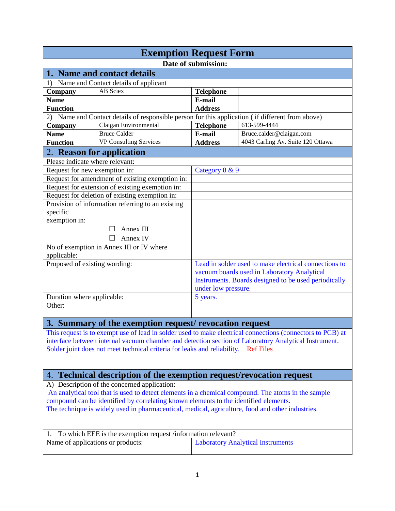| <b>Exemption Request Form</b>                                                                                                                                                            |                                                                                                  |                                             |                                                                                                            |  |
|------------------------------------------------------------------------------------------------------------------------------------------------------------------------------------------|--------------------------------------------------------------------------------------------------|---------------------------------------------|------------------------------------------------------------------------------------------------------------|--|
|                                                                                                                                                                                          |                                                                                                  | Date of submission:                         |                                                                                                            |  |
|                                                                                                                                                                                          | 1. Name and contact details                                                                      |                                             |                                                                                                            |  |
| 1)                                                                                                                                                                                       | Name and Contact details of applicant                                                            |                                             |                                                                                                            |  |
| Company                                                                                                                                                                                  | <b>AB</b> Sciex                                                                                  | <b>Telephone</b>                            |                                                                                                            |  |
| <b>Name</b>                                                                                                                                                                              |                                                                                                  | E-mail                                      |                                                                                                            |  |
| <b>Function</b>                                                                                                                                                                          |                                                                                                  | <b>Address</b>                              |                                                                                                            |  |
|                                                                                                                                                                                          | 2) Name and Contact details of responsible person for this application (if different from above) |                                             |                                                                                                            |  |
| Company                                                                                                                                                                                  | Claigan Environmental                                                                            | <b>Telephone</b>                            | 613-599-4444                                                                                               |  |
| <b>Name</b>                                                                                                                                                                              | <b>Bruce Calder</b>                                                                              | E-mail                                      | Bruce.calder@claigan.com                                                                                   |  |
| <b>Function</b>                                                                                                                                                                          | <b>VP Consulting Services</b>                                                                    | <b>Address</b>                              | 4043 Carling Av. Suite 120 Ottawa                                                                          |  |
|                                                                                                                                                                                          | 2. Reason for application                                                                        |                                             |                                                                                                            |  |
| Please indicate where relevant:                                                                                                                                                          |                                                                                                  |                                             |                                                                                                            |  |
| Request for new exemption in:                                                                                                                                                            |                                                                                                  | Category 8 & 9                              |                                                                                                            |  |
|                                                                                                                                                                                          | Request for amendment of existing exemption in:                                                  |                                             |                                                                                                            |  |
|                                                                                                                                                                                          | Request for extension of existing exemption in:                                                  |                                             |                                                                                                            |  |
|                                                                                                                                                                                          | Request for deletion of existing exemption in:                                                   |                                             |                                                                                                            |  |
|                                                                                                                                                                                          | Provision of information referring to an existing                                                |                                             |                                                                                                            |  |
| specific                                                                                                                                                                                 |                                                                                                  |                                             |                                                                                                            |  |
| exemption in:                                                                                                                                                                            |                                                                                                  |                                             |                                                                                                            |  |
|                                                                                                                                                                                          | Annex III                                                                                        |                                             |                                                                                                            |  |
|                                                                                                                                                                                          | Annex IV                                                                                         |                                             |                                                                                                            |  |
|                                                                                                                                                                                          | No of exemption in Annex III or IV where                                                         |                                             |                                                                                                            |  |
| applicable:                                                                                                                                                                              |                                                                                                  |                                             |                                                                                                            |  |
| Proposed of existing wording:                                                                                                                                                            |                                                                                                  |                                             | Lead in solder used to make electrical connections to                                                      |  |
|                                                                                                                                                                                          |                                                                                                  | vacuum boards used in Laboratory Analytical |                                                                                                            |  |
|                                                                                                                                                                                          |                                                                                                  |                                             | Instruments. Boards designed to be used periodically                                                       |  |
|                                                                                                                                                                                          |                                                                                                  | under low pressure.                         |                                                                                                            |  |
| Duration where applicable:                                                                                                                                                               |                                                                                                  | 5 years.                                    |                                                                                                            |  |
| Other:                                                                                                                                                                                   |                                                                                                  |                                             |                                                                                                            |  |
|                                                                                                                                                                                          |                                                                                                  |                                             |                                                                                                            |  |
|                                                                                                                                                                                          | 3. Summary of the exemption request/ revocation request                                          |                                             |                                                                                                            |  |
|                                                                                                                                                                                          |                                                                                                  |                                             | This request is to exempt use of lead in solder used to make electrical connections (connectors to PCB) at |  |
|                                                                                                                                                                                          |                                                                                                  |                                             | interface between internal vacuum chamber and detection section of Laboratory Analytical Instrument.       |  |
|                                                                                                                                                                                          | Solder joint does not meet technical criteria for leaks and reliability. Ref Files               |                                             |                                                                                                            |  |
|                                                                                                                                                                                          |                                                                                                  |                                             |                                                                                                            |  |
|                                                                                                                                                                                          |                                                                                                  |                                             |                                                                                                            |  |
| 4. Technical description of the exemption request/revocation request                                                                                                                     |                                                                                                  |                                             |                                                                                                            |  |
| A) Description of the concerned application:                                                                                                                                             |                                                                                                  |                                             |                                                                                                            |  |
| An analytical tool that is used to detect elements in a chemical compound. The atoms in the sample                                                                                       |                                                                                                  |                                             |                                                                                                            |  |
| compound can be identified by correlating known elements to the identified elements.<br>The technique is widely used in pharmaceutical, medical, agriculture, food and other industries. |                                                                                                  |                                             |                                                                                                            |  |
|                                                                                                                                                                                          |                                                                                                  |                                             |                                                                                                            |  |
|                                                                                                                                                                                          |                                                                                                  |                                             |                                                                                                            |  |
| 1. To which EEE is the exemption request /information relevant?                                                                                                                          |                                                                                                  |                                             |                                                                                                            |  |
| Name of applications or products:                                                                                                                                                        |                                                                                                  |                                             | <b>Laboratory Analytical Instruments</b>                                                                   |  |
|                                                                                                                                                                                          |                                                                                                  |                                             |                                                                                                            |  |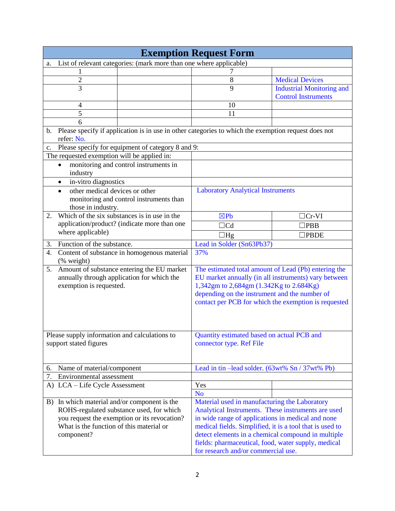| <b>Exemption Request Form</b>                                                                                           |                                                                        |                                  |  |  |
|-------------------------------------------------------------------------------------------------------------------------|------------------------------------------------------------------------|----------------------------------|--|--|
| List of relevant categories: (mark more than one where applicable)<br>a.                                                |                                                                        |                                  |  |  |
|                                                                                                                         |                                                                        |                                  |  |  |
| $\overline{c}$                                                                                                          | 8                                                                      | <b>Medical Devices</b>           |  |  |
| $\overline{3}$                                                                                                          | 9                                                                      | <b>Industrial Monitoring and</b> |  |  |
|                                                                                                                         |                                                                        | <b>Control Instruments</b>       |  |  |
| 4                                                                                                                       | 10                                                                     |                                  |  |  |
| 5                                                                                                                       | 11                                                                     |                                  |  |  |
| 6                                                                                                                       |                                                                        |                                  |  |  |
| Please specify if application is in use in other categories to which the exemption request does not<br>b.<br>refer: No. |                                                                        |                                  |  |  |
| Please specify for equipment of category $\overline{8}$ and 9:<br>c.                                                    |                                                                        |                                  |  |  |
| The requested exemption will be applied in:                                                                             |                                                                        |                                  |  |  |
|                                                                                                                         |                                                                        |                                  |  |  |
| monitoring and control instruments in<br>industry                                                                       |                                                                        |                                  |  |  |
| in-vitro diagnostics<br>$\bullet$                                                                                       |                                                                        |                                  |  |  |
| other medical devices or other<br>$\bullet$                                                                             | <b>Laboratory Analytical Instruments</b>                               |                                  |  |  |
| monitoring and control instruments than                                                                                 |                                                                        |                                  |  |  |
| those in industry.                                                                                                      |                                                                        |                                  |  |  |
| Which of the six substances is in use in the<br>2.                                                                      | $\boxtimes Pb$                                                         | $\Box$ Cr-VI                     |  |  |
| application/product? (indicate more than one                                                                            | $\Box$ Cd                                                              | $\rceil$ PBB                     |  |  |
| where applicable)                                                                                                       | $\Box$ Hg                                                              | <b>PBDE</b>                      |  |  |
| Function of the substance.<br>3.                                                                                        | Lead in Solder (Sn63Pb37)                                              |                                  |  |  |
| Content of substance in homogenous material<br>4.                                                                       | 37%                                                                    |                                  |  |  |
| (% weight)                                                                                                              |                                                                        |                                  |  |  |
| 5.<br>Amount of substance entering the EU market                                                                        | The estimated total amount of Lead (Pb) entering the                   |                                  |  |  |
| annually through application for which the                                                                              | EU market annually (in all instruments) vary between                   |                                  |  |  |
| exemption is requested.                                                                                                 | 1,342gm to 2,684gm (1.342Kg to 2.684Kg)                                |                                  |  |  |
|                                                                                                                         | depending on the instrument and the number of                          |                                  |  |  |
|                                                                                                                         | contact per PCB for which the exemption is requested                   |                                  |  |  |
|                                                                                                                         |                                                                        |                                  |  |  |
|                                                                                                                         |                                                                        |                                  |  |  |
| Please supply information and calculations to                                                                           |                                                                        |                                  |  |  |
| support stated figures                                                                                                  | Quantity estimated based on actual PCB and<br>connector type. Ref File |                                  |  |  |
|                                                                                                                         |                                                                        |                                  |  |  |
|                                                                                                                         |                                                                        |                                  |  |  |
| Name of material/component<br>6.                                                                                        | Lead in tin -lead solder. (63wt% Sn / 37wt% Pb)                        |                                  |  |  |
| 7.<br>Environmental assessment                                                                                          |                                                                        |                                  |  |  |
| A) LCA – Life Cycle Assessment                                                                                          | Yes                                                                    |                                  |  |  |
|                                                                                                                         | <b>No</b>                                                              |                                  |  |  |
| B) In which material and/or component is the                                                                            | Material used in manufacturing the Laboratory                          |                                  |  |  |
| ROHS-regulated substance used, for which                                                                                | Analytical Instruments. These instruments are used                     |                                  |  |  |
| you request the exemption or its revocation?                                                                            | in wide range of applications in medical and none                      |                                  |  |  |
| What is the function of this material or                                                                                | medical fields. Simplified, it is a tool that is used to               |                                  |  |  |
| component?                                                                                                              | detect elements in a chemical compound in multiple                     |                                  |  |  |
|                                                                                                                         | fields: pharmaceutical, food, water supply, medical                    |                                  |  |  |
|                                                                                                                         | for research and/or commercial use.                                    |                                  |  |  |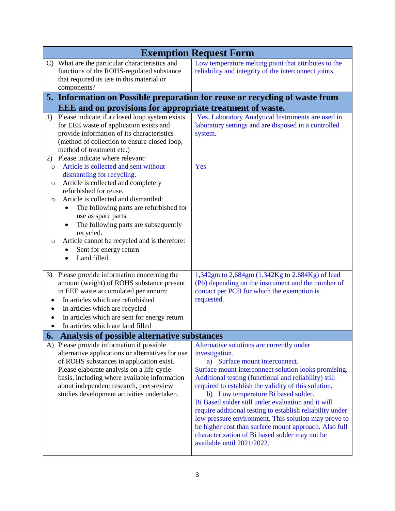|                                                | <b>Exemption Request Form</b>                                                                                                                                                                                                                                                                                                                                                                                                                                                                                              |                                                                                                                                                                                                                                                                                                                                                                                                                                                                                                                                                                                                                                   |  |  |  |
|------------------------------------------------|----------------------------------------------------------------------------------------------------------------------------------------------------------------------------------------------------------------------------------------------------------------------------------------------------------------------------------------------------------------------------------------------------------------------------------------------------------------------------------------------------------------------------|-----------------------------------------------------------------------------------------------------------------------------------------------------------------------------------------------------------------------------------------------------------------------------------------------------------------------------------------------------------------------------------------------------------------------------------------------------------------------------------------------------------------------------------------------------------------------------------------------------------------------------------|--|--|--|
|                                                | C) What are the particular characteristics and<br>functions of the ROHS-regulated substance<br>that required its use in this material or<br>components?                                                                                                                                                                                                                                                                                                                                                                    | Low temperature melting point that attributes to the<br>reliability and integrity of the interconnect joints.                                                                                                                                                                                                                                                                                                                                                                                                                                                                                                                     |  |  |  |
|                                                |                                                                                                                                                                                                                                                                                                                                                                                                                                                                                                                            | 5. Information on Possible preparation for reuse or recycling of waste from                                                                                                                                                                                                                                                                                                                                                                                                                                                                                                                                                       |  |  |  |
|                                                | <b>EEE</b> and on provisions for appropriate treatment of waste.                                                                                                                                                                                                                                                                                                                                                                                                                                                           |                                                                                                                                                                                                                                                                                                                                                                                                                                                                                                                                                                                                                                   |  |  |  |
|                                                | 1) Please indicate if a closed loop system exists<br>for EEE waste of application exists and<br>provide information of its characteristics<br>(method of collection to ensure closed loop,<br>method of treatment etc.)                                                                                                                                                                                                                                                                                                    | Yes. Laboratory Analytical Instruments are used in<br>laboratory settings and are disposed in a controlled<br>system.                                                                                                                                                                                                                                                                                                                                                                                                                                                                                                             |  |  |  |
| 2)<br>$\circ$<br>O<br>$\circ$<br>$\circ$<br>3) | Please indicate where relevant:<br>Article is collected and sent without<br>dismantling for recycling.<br>Article is collected and completely<br>refurbished for reuse.<br>Article is collected and dismantled:<br>The following parts are refurbished for<br>use as spare parts:<br>The following parts are subsequently<br>recycled.<br>Article cannot be recycled and is therefore:<br>Sent for energy return<br>Land filled.<br>Please provide information concerning the<br>amount (weight) of ROHS substance present | Yes<br>1,342gm to 2,684gm (1.342Kg to 2.684Kg) of lead<br>(Pb) depending on the instrument and the number of                                                                                                                                                                                                                                                                                                                                                                                                                                                                                                                      |  |  |  |
| $\bullet$                                      | in EEE waste accumulated per annum:<br>In articles which are refurbished<br>In articles which are recycled<br>In articles which are sent for energy return<br>In articles which are land filled                                                                                                                                                                                                                                                                                                                            | contact per PCB for which the exemption is<br>requested.                                                                                                                                                                                                                                                                                                                                                                                                                                                                                                                                                                          |  |  |  |
| 6.                                             | Analysis of possible alternative substances                                                                                                                                                                                                                                                                                                                                                                                                                                                                                |                                                                                                                                                                                                                                                                                                                                                                                                                                                                                                                                                                                                                                   |  |  |  |
| A)                                             | Please provide information if possible<br>alternative applications or alternatives for use<br>of ROHS substances in application exist.<br>Please elaborate analysis on a life-cycle<br>basis, including where available information<br>about independent research, peer-review<br>studies development activities undertaken.                                                                                                                                                                                               | Alternative solutions are currently under<br>investigation.<br>a) Surface mount interconnect.<br>Surface mount interconnect solution looks promising.<br>Additional testing (functional and reliability) still<br>required to establish the validity of this solution.<br>b) Low temperature Bi based solder.<br>Bi Based solder still under evaluation and it will<br>require additional testing to establish reliability under<br>low pressure environment. This solution may prove to<br>be higher cost than surface mount approach. Also full<br>characterization of Bi based solder may not be<br>available until 2021/2022. |  |  |  |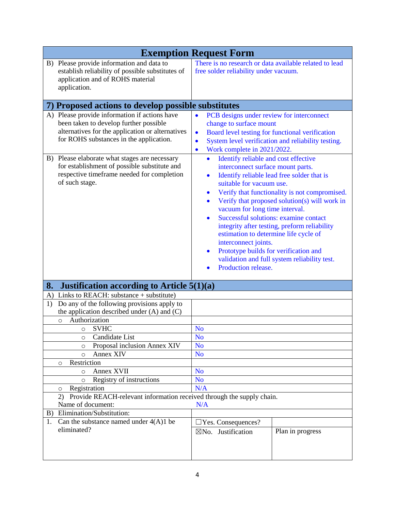| <b>Exemption Request Form</b>                                                                                                                                                                                                                                                                                                                           |                                                                                                                                                                                                                                                                                                                                                                                                                                                                                                                                                                                                                                                                                                                                                                                                                                                                                           |  |
|---------------------------------------------------------------------------------------------------------------------------------------------------------------------------------------------------------------------------------------------------------------------------------------------------------------------------------------------------------|-------------------------------------------------------------------------------------------------------------------------------------------------------------------------------------------------------------------------------------------------------------------------------------------------------------------------------------------------------------------------------------------------------------------------------------------------------------------------------------------------------------------------------------------------------------------------------------------------------------------------------------------------------------------------------------------------------------------------------------------------------------------------------------------------------------------------------------------------------------------------------------------|--|
| B) Please provide information and data to<br>establish reliability of possible substitutes of<br>application and of ROHS material<br>application.                                                                                                                                                                                                       | There is no research or data available related to lead<br>free solder reliability under vacuum.                                                                                                                                                                                                                                                                                                                                                                                                                                                                                                                                                                                                                                                                                                                                                                                           |  |
| 7) Proposed actions to develop possible substitutes                                                                                                                                                                                                                                                                                                     |                                                                                                                                                                                                                                                                                                                                                                                                                                                                                                                                                                                                                                                                                                                                                                                                                                                                                           |  |
| A) Please provide information if actions have<br>been taken to develop further possible<br>alternatives for the application or alternatives<br>for ROHS substances in the application.<br>B) Please elaborate what stages are necessary<br>for establishment of possible substitute and<br>respective timeframe needed for completion<br>of such stage. | PCB designs under review for interconnect<br>$\bullet$<br>change to surface mount<br>Board level testing for functional verification<br>$\bullet$<br>System level verification and reliability testing.<br>$\bullet$<br>Work complete in 2021/2022.<br>$\bullet$<br>Identify reliable and cost effective<br>interconnect surface mount parts.<br>Identify reliable lead free solder that is<br>$\bullet$<br>suitable for vacuum use.<br>Verify that functionality is not compromised.<br>$\bullet$<br>Verify that proposed solution(s) will work in<br>$\bullet$<br>vacuum for long time interval.<br>Successful solutions: examine contact<br>$\bullet$<br>integrity after testing, preform reliability<br>estimation to determine life cycle of<br>interconnect joints.<br>Prototype builds for verification and<br>validation and full system reliability test.<br>Production release. |  |
| 8.<br>Justification according to Article 5(1)(a)                                                                                                                                                                                                                                                                                                        |                                                                                                                                                                                                                                                                                                                                                                                                                                                                                                                                                                                                                                                                                                                                                                                                                                                                                           |  |
| Links to REACH: substance $+$ substitute)<br>A)                                                                                                                                                                                                                                                                                                         |                                                                                                                                                                                                                                                                                                                                                                                                                                                                                                                                                                                                                                                                                                                                                                                                                                                                                           |  |
| Do any of the following provisions apply to<br>1)<br>the application described under $(A)$ and $(C)$<br>Authorization<br>$\circ$                                                                                                                                                                                                                        |                                                                                                                                                                                                                                                                                                                                                                                                                                                                                                                                                                                                                                                                                                                                                                                                                                                                                           |  |
| <b>SVHC</b><br>O                                                                                                                                                                                                                                                                                                                                        | N <sub>o</sub>                                                                                                                                                                                                                                                                                                                                                                                                                                                                                                                                                                                                                                                                                                                                                                                                                                                                            |  |
| Candidate List<br>O                                                                                                                                                                                                                                                                                                                                     | N <sub>0</sub>                                                                                                                                                                                                                                                                                                                                                                                                                                                                                                                                                                                                                                                                                                                                                                                                                                                                            |  |
| Proposal inclusion Annex XIV<br>$\circ$                                                                                                                                                                                                                                                                                                                 | N <sub>o</sub>                                                                                                                                                                                                                                                                                                                                                                                                                                                                                                                                                                                                                                                                                                                                                                                                                                                                            |  |
| Annex XIV<br>$\circ$                                                                                                                                                                                                                                                                                                                                    | N <sub>o</sub>                                                                                                                                                                                                                                                                                                                                                                                                                                                                                                                                                                                                                                                                                                                                                                                                                                                                            |  |
| Restriction<br>$\circ$                                                                                                                                                                                                                                                                                                                                  |                                                                                                                                                                                                                                                                                                                                                                                                                                                                                                                                                                                                                                                                                                                                                                                                                                                                                           |  |
| Annex XVII<br>$\circ$                                                                                                                                                                                                                                                                                                                                   | N <sub>o</sub>                                                                                                                                                                                                                                                                                                                                                                                                                                                                                                                                                                                                                                                                                                                                                                                                                                                                            |  |
| Registry of instructions<br>$\circ$                                                                                                                                                                                                                                                                                                                     | N <sub>o</sub><br>N/A                                                                                                                                                                                                                                                                                                                                                                                                                                                                                                                                                                                                                                                                                                                                                                                                                                                                     |  |
| Registration<br>$\circ$<br>2)                                                                                                                                                                                                                                                                                                                           |                                                                                                                                                                                                                                                                                                                                                                                                                                                                                                                                                                                                                                                                                                                                                                                                                                                                                           |  |
| Provide REACH-relevant information received through the supply chain.<br>Name of document:<br>N/A                                                                                                                                                                                                                                                       |                                                                                                                                                                                                                                                                                                                                                                                                                                                                                                                                                                                                                                                                                                                                                                                                                                                                                           |  |
| Elimination/Substitution:<br>B)                                                                                                                                                                                                                                                                                                                         |                                                                                                                                                                                                                                                                                                                                                                                                                                                                                                                                                                                                                                                                                                                                                                                                                                                                                           |  |
| Can the substance named under $4(A)1$ be<br>1.                                                                                                                                                                                                                                                                                                          | $\Box$ Yes. Consequences?                                                                                                                                                                                                                                                                                                                                                                                                                                                                                                                                                                                                                                                                                                                                                                                                                                                                 |  |
| eliminated?                                                                                                                                                                                                                                                                                                                                             | Plan in progress<br>⊠No. Justification                                                                                                                                                                                                                                                                                                                                                                                                                                                                                                                                                                                                                                                                                                                                                                                                                                                    |  |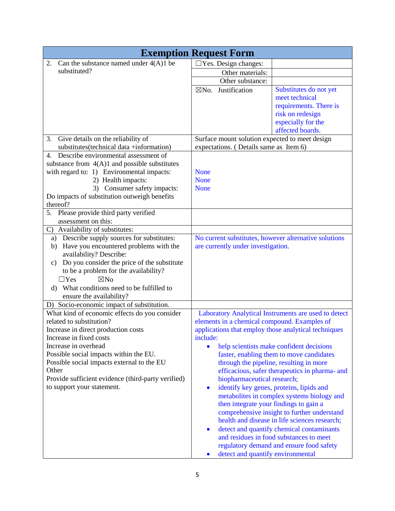|                                                                                                                                                                                                                                                                                                 | <b>Exemption Request Form</b>                                                               |                                                                                                                                                                                                                                                                                                                                 |
|-------------------------------------------------------------------------------------------------------------------------------------------------------------------------------------------------------------------------------------------------------------------------------------------------|---------------------------------------------------------------------------------------------|---------------------------------------------------------------------------------------------------------------------------------------------------------------------------------------------------------------------------------------------------------------------------------------------------------------------------------|
| Can the substance named under $4(A)1$ be<br>2.                                                                                                                                                                                                                                                  | $\Box$ Yes. Design changes:                                                                 |                                                                                                                                                                                                                                                                                                                                 |
| substituted?                                                                                                                                                                                                                                                                                    | Other materials:                                                                            |                                                                                                                                                                                                                                                                                                                                 |
|                                                                                                                                                                                                                                                                                                 | Other substance:                                                                            |                                                                                                                                                                                                                                                                                                                                 |
|                                                                                                                                                                                                                                                                                                 | $\boxtimes$ No. Justification                                                               | Substitutes do not yet<br>meet technical<br>requirements. There is<br>risk on redesign<br>especially for the<br>affected boards.                                                                                                                                                                                                |
| Give details on the reliability of<br>3.                                                                                                                                                                                                                                                        | Surface mount solution expected to meet design                                              |                                                                                                                                                                                                                                                                                                                                 |
| substitutes (technical data +information)                                                                                                                                                                                                                                                       | expectations. (Details same as Item 6)                                                      |                                                                                                                                                                                                                                                                                                                                 |
| Describe environmental assessment of<br>4.<br>substance from $4(A)1$ and possible substitutes<br>with regard to: 1) Environmental impacts:                                                                                                                                                      | <b>None</b>                                                                                 |                                                                                                                                                                                                                                                                                                                                 |
| 2) Health impacts:                                                                                                                                                                                                                                                                              | <b>None</b>                                                                                 |                                                                                                                                                                                                                                                                                                                                 |
| 3) Consumer safety impacts:<br>Do impacts of substitution outweigh benefits<br>thereof?                                                                                                                                                                                                         | <b>None</b>                                                                                 |                                                                                                                                                                                                                                                                                                                                 |
| Please provide third party verified<br>5.                                                                                                                                                                                                                                                       |                                                                                             |                                                                                                                                                                                                                                                                                                                                 |
| assessment on this:                                                                                                                                                                                                                                                                             |                                                                                             |                                                                                                                                                                                                                                                                                                                                 |
| C) Availability of substitutes:                                                                                                                                                                                                                                                                 |                                                                                             |                                                                                                                                                                                                                                                                                                                                 |
| a) Describe supply sources for substitutes:<br>Have you encountered problems with the<br>b)<br>availability? Describe:<br>Do you consider the price of the substitute<br>c)<br>to be a problem for the availability?<br>$\nabla$ No<br>$\Box$ Yes<br>d) What conditions need to be fulfilled to | No current substitutes, however alternative solutions<br>are currently under investigation. |                                                                                                                                                                                                                                                                                                                                 |
| ensure the availability?                                                                                                                                                                                                                                                                        |                                                                                             |                                                                                                                                                                                                                                                                                                                                 |
| D) Socio-economic impact of substitution.<br>What kind of economic effects do you consider<br>related to substitution?                                                                                                                                                                          | elements in a chemical compound. Examples of                                                | Laboratory Analytical Instruments are used to detect                                                                                                                                                                                                                                                                            |
| Increase in direct production costs                                                                                                                                                                                                                                                             | applications that employ those analytical techniques                                        |                                                                                                                                                                                                                                                                                                                                 |
| Increase in fixed costs<br>Increase in overhead                                                                                                                                                                                                                                                 | include:<br>$\bullet$                                                                       | help scientists make confident decisions                                                                                                                                                                                                                                                                                        |
| Possible social impacts within the EU.<br>Possible social impacts external to the EU<br>Other<br>Provide sufficient evidence (third-party verified)<br>to support your statement.                                                                                                               | biopharmaceutical research;<br>$\bullet$<br>then integrate your findings to gain a          | faster, enabling them to move candidates<br>through the pipeline, resulting in more<br>efficacious, safer therapeutics in pharma- and<br>identify key genes, proteins, lipids and<br>metabolites in complex systems biology and<br>comprehensive insight to further understand<br>health and disease in life sciences research; |
|                                                                                                                                                                                                                                                                                                 | $\bullet$<br>detect and quantify environmental                                              | detect and quantify chemical contaminants<br>and residues in food substances to meet<br>regulatory demand and ensure food safety                                                                                                                                                                                                |